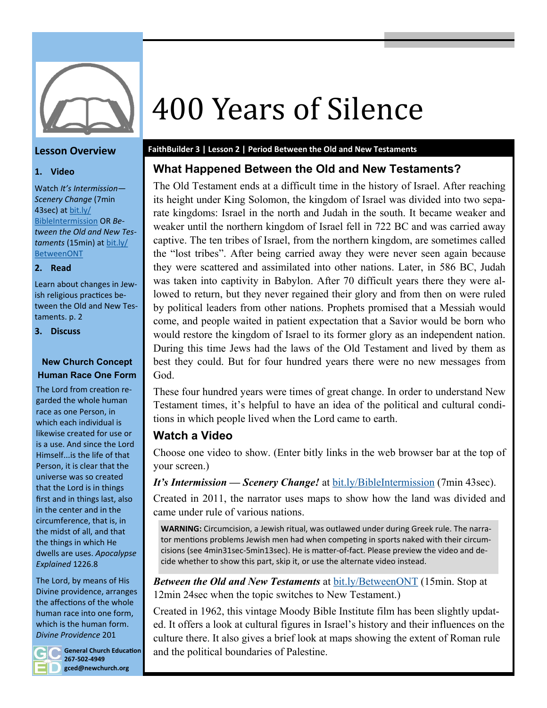

#### **Lesson Overview**

#### **1. Video**

Watch *It's Intermission— Scenery Change* (7min 43sec) at [bit.ly/](https://www.youtube.com/watch?v=Vsb6dAUbLi4) [BibleIntermission](https://www.youtube.com/watch?v=Vsb6dAUbLi4) OR *Between the Old and New Testaments* (15min) at [bit.ly/](https://www.youtube.com/watch?v=yW12PxXTrNs) [BetweenONT](https://www.youtube.com/watch?v=yW12PxXTrNs)

**2. Read**

Learn about changes in Jewish religious practices between the Old and New Testaments. p. 2

**3. Discuss**

#### **New Church Concept Human Race One Form**

The Lord from creation regarded the whole human race as one Person, in which each individual is likewise created for use or is a use. And since the Lord Himself...is the life of that Person, it is clear that the universe was so created that the Lord is in things first and in things last, also in the center and in the circumference, that is, in the midst of all, and that the things in which He dwells are uses. *Apocalypse Explained* 1226.8

The Lord, by means of His Divine providence, arranges the affections of the whole human race into one form, which is the human form. *Divine Providence* 201



**General Church Education 267-502-4949 gced@newchurch.org**

# 400 Years of Silence

#### **FaithBuilder 3 | Lesson 2 | Period Between the Old and New Testaments**

#### **What Happened Between the Old and New Testaments?**

The Old Testament ends at a difficult time in the history of Israel. After reaching its height under King Solomon, the kingdom of Israel was divided into two separate kingdoms: Israel in the north and Judah in the south. It became weaker and weaker until the northern kingdom of Israel fell in 722 BC and was carried away captive. The ten tribes of Israel, from the northern kingdom, are sometimes called the "lost tribes". After being carried away they were never seen again because they were scattered and assimilated into other nations. Later, in 586 BC, Judah was taken into captivity in Babylon. After 70 difficult years there they were allowed to return, but they never regained their glory and from then on were ruled by political leaders from other nations. Prophets promised that a Messiah would come, and people waited in patient expectation that a Savior would be born who would restore the kingdom of Israel to its former glory as an independent nation. During this time Jews had the laws of the Old Testament and lived by them as best they could. But for four hundred years there were no new messages from God.

These four hundred years were times of great change. In order to understand New Testament times, it's helpful to have an idea of the political and cultural conditions in which people lived when the Lord came to earth.

### **Watch a Video**

Choose one video to show. (Enter bitly links in the web browser bar at the top of your screen.)

*It's Intermission — Scenery Change!* at [bit.ly/BibleIntermission](https://www.youtube.com/watch?v=Vsb6dAUbLi4) (7min 43sec).

Created in 2011, the narrator uses maps to show how the land was divided and came under rule of various nations.

**WARNING:** Circumcision, a Jewish ritual, was outlawed under during Greek rule. The narrator mentions problems Jewish men had when competing in sports naked with their circumcisions (see 4min31sec-5min13sec). He is matter-of-fact. Please preview the video and decide whether to show this part, skip it, or use the alternate video instead.

*Between the Old and New Testaments* at [bit.ly/BetweenONT](https://www.youtube.com/watch?v=yW12PxXTrNs) (15min. Stop at 12min 24sec when the topic switches to New Testament.)

Created in 1962, this vintage Moody Bible Institute film has been slightly updated. It offers a look at cultural figures in Israel's history and their influences on the culture there. It also gives a brief look at maps showing the extent of Roman rule and the political boundaries of Palestine.